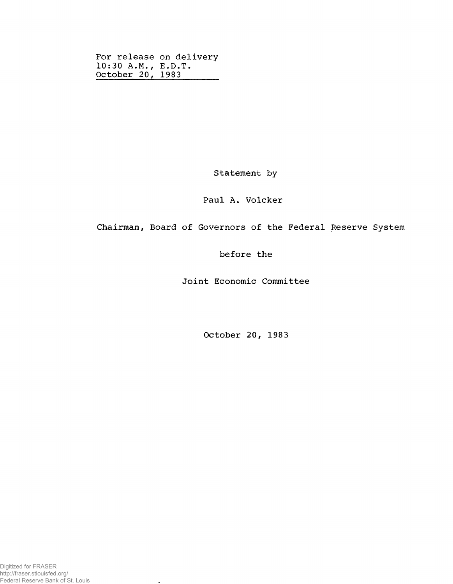For release on delivery 10:30 A.M., E.D.T. October 20, 1983

Statement by

## Paul A. Volcker

Chairman, Board of Governors of the Federal Reserve System

before the

Joint Economic Committee

October 20, 1983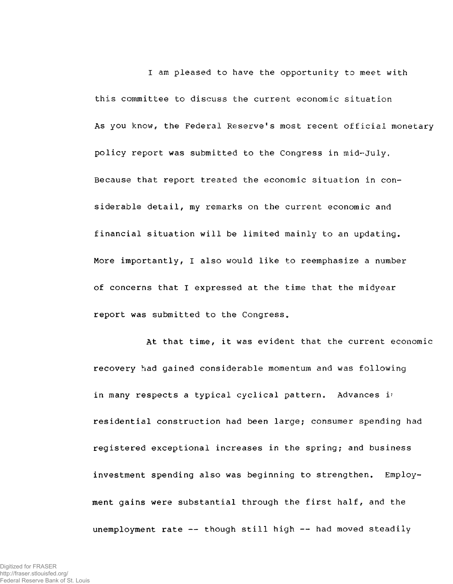I am pleased to have the opportunity to meet with this committee to discuss the current economic situation As you know, the Federal Reserve's most recent official monetary policy report was submitted to the Congress in mid-July, Because that report treated the economic situation in considerable detail, my remarks on the current economic and financial situation will be limited mainly to an updating. More importantly, I also would like to reemphasize a number of concerns that I expressed at the time that the midyear report was submitted to the Congress.

At that time, it was evident that the current economic recovery had gained considerable momentum and was following in many respects a typical cyclical pattern. Advances i<sup>-</sup> residential construction had been large; consumer spending had registered exceptional increases in the spring; and business investment spending also was beginning to strengthen. Employment gains were substantial through the first half, and the unemployment rate -- though still high -- had moved steadily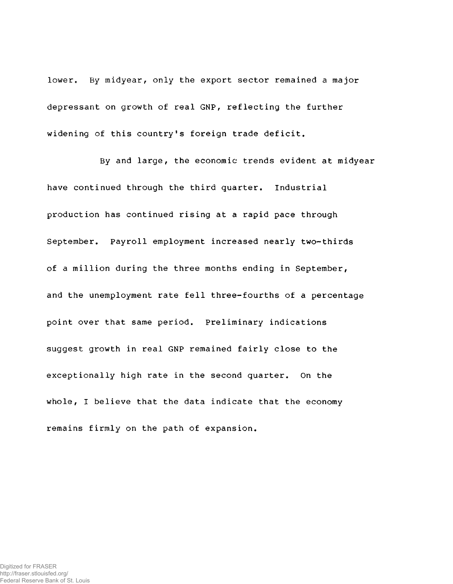lower. By midyear, only the export sector remained a major depressant on growth of real GNP, reflecting the further widening of this country's foreign trade deficit.

By and large, the economic trends evident at midyear have continued through the third quarter. Industrial production has continued rising at a rapid pace through September. Payroll employment increased nearly two-thirds of a million during the three months ending in September, and the unemployment rate fell three-fourths of a percentage point over that same period. Preliminary indications suggest growth in real GNP remained fairly close to the exceptionally high rate in the second quarter. On the whole, I believe that the data indicate that the economy remains firmly on the path of expansion.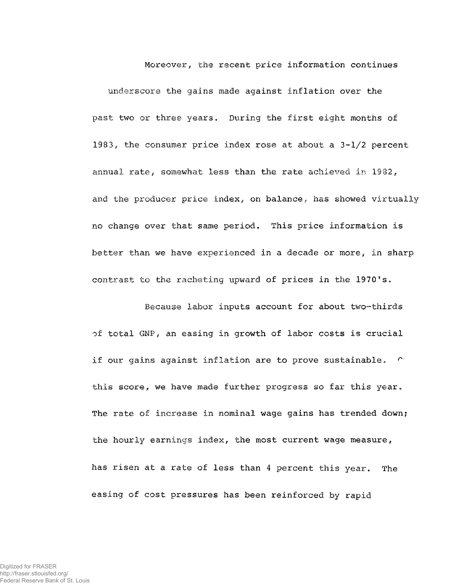**Moreover,** the recent price information continues underscore the gains made against inflation over the past two or three years. During the first eight months of 1983, the consumer price index rose at about a  $3-1/2$  percent **annual rate,** somewhat less than the rate achieved in **1982,** and the producer price index, **on balance,** has **showed** virtually no change over that same period. This price information is better than we have experienced in a decade or more, in sharp contrast to **the** racheting upward of prices in the **1970's.**

**Because** labor inputs account for about **two-thirds** of total GNP, an easing in growth of labor costs is crucial if our gains against inflation are to prove sustainable. ( this score, we have made further progress so far this year. The rate of increase in nominal wage gains has trended down; the hourly earnings index, the most current wage measure, has risen at a rate of less than 4 percent this year. The easing of cost pressures has been reinforced by rapid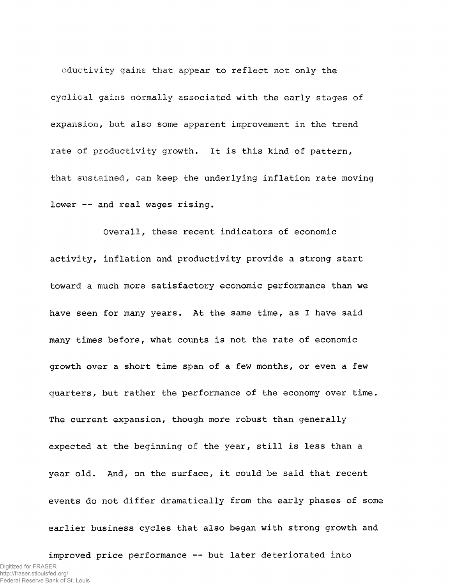oductivity gains that appear to reflect not only the cyclical gains normally associated with the early stages of expansion, but also some apparent improvement in the trend rate of productivity growth. It is this kind of pattern, that sustained, can keep the underlying inflation rate moving lower -- and real wages rising.

Overall, these recent indicators of economic activity, inflation and productivity provide a strong start toward a much more satisfactory economic performance than we have seen for many years. At the same time, as I have said many times before, what counts is not the rate of economic growth over a short time span of a few months, or even a few quarters, but rather the performance of the economy over time. The current expansion, though more robust than generally expected at the beginning of the year, still is less than a year old. And, on the surface, it could be said that recent events do not differ dramatically from the early phases of some earlier business cycles that also began with strong growth and

improved price performance — but later deteriorated into Digitized for FRASER http://fraser.stlouisfed.org/ Federal Reserve Bank of St. Louis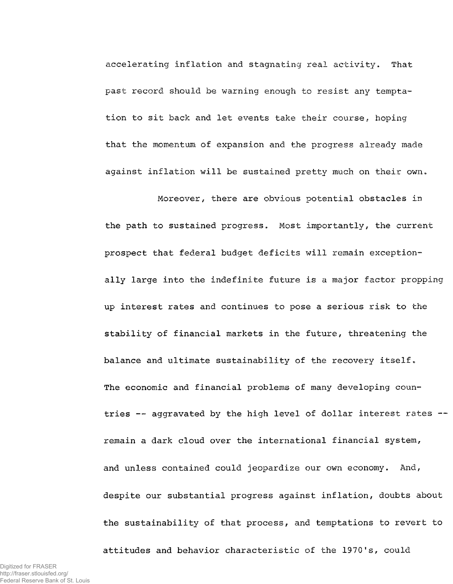accelerating inflation and stagnating real activity. That past record should be warning enough to resist any temptation to sit back and let events take their course, hoping that the momentum of expansion and the progress already made against inflation will be sustained pretty much on their own.

Moreover, there are obvious potential obstacles in the path to sustained progress. Most importantly, the current prospect that federal budget deficits will remain exceptionally large into the indefinite future is a major factor propping up interest rates and continues to pose a serious risk to the stability of financial markets in the future, threatening the balance and ultimate sustainability of the recovery itself. The economic and financial problems of many developing countries -- aggravated by the high level of dollar interest rates -remain a dark cloud over the international financial system, and unless contained could jeopardize our own economy. And, despite our substantial progress against inflation, doubts about the sustainability of that process, and temptations to revert to

attitudes and behavior characteristic of the 1970's, could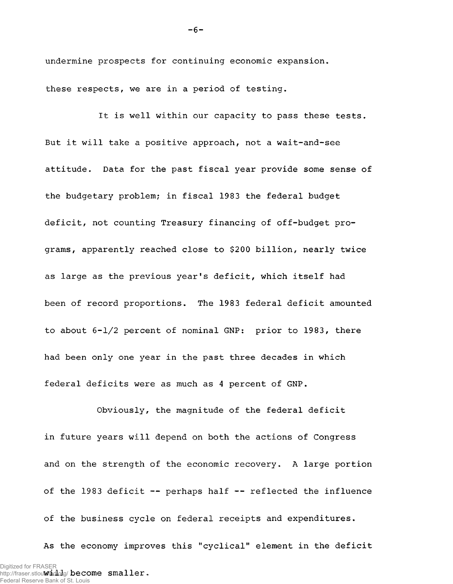undermine prospects for continuing economic expansion. these respects, we are in a period of testing.

It is well within our capacity to pass these tests. But it will take a positive approach, not a wait-and-see attitude. Data for the past fiscal year provide some sense of the budgetary problem; in fiscal 1983 the federal budget deficit, not counting Treasury financing of off-budget programs, apparently reached close to \$200 billion, nearly twice as large as the previous year's deficit, which itself had been of record proportions. The 1983 federal deficit amounted to about 6-1/2 percent of nominal GNP: prior to 1983, there had been only one year in the past three decades in which federal deficits were as much as 4 percent of GNP.

Obviously, the magnitude of the federal deficit in future years will depend on both the actions of Congress and on the strength of the economic recovery. A large portion of the 1983 deficit — perhaps half -- reflected the influence of the business cycle on federal receipts and expenditures. As the economy improves this "cyclical" element in the deficit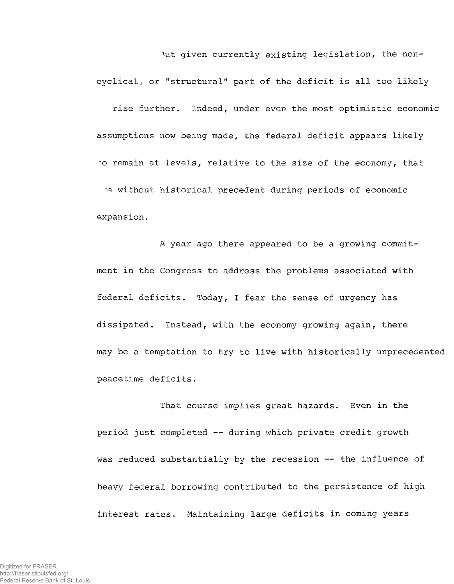Nut given currently existing legislation, the non-

cyclical, or "structural" part of the deficit is all too likely rise further. Indeed, under even the most optimistic economic assumptions now being made, the federal deficit appears likely "O remain at levels, relative to the size of the economy, that me without historical precedent during periods of economic expansion,

A year ago there appeared to be a growing commitment in the Congress to address the problems associated with federal deficits. Today, I fear the sense of urgency has dissipated. Instead, with the economy growing again, there may be a temptation to try to live with historically unprecedented peacetime deficits.

That course implies great hazards. Even in the period just completed — during which private credit growth was reduced substantially by the recession —- the influence of heavy federal borrowing contributed to the persistence of high interest rates, Maintaining large deficits in coming years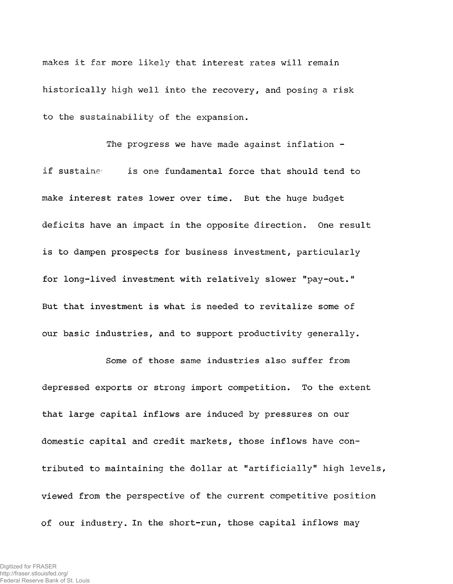makes it far more likely that interest rates will remain historically high well into the recovery, and posing a risk to the sustainability of the expansion.

The progress we have made against inflation if sustaine is one fundamental force that should tend to make interest rates lower over time. But the huge budget deficits have an impact in the opposite direction. One result is to dampen prospects for business investment, particularly for long-lived investment with relatively slower "pay-out." But that investment is what is needed to revitalize some of our basic industries, and to support productivity generally.

Some of those same industries also suffer from depressed exports or strong import competition. To the extent that large capital inflows are induced by pressures on our domestic capital and credit markets, those inflows have contributed to maintaining the dollar at "artificially" high levels, viewed from the perspective of the current competitive position of our industry. In the short-run, those capital inflows may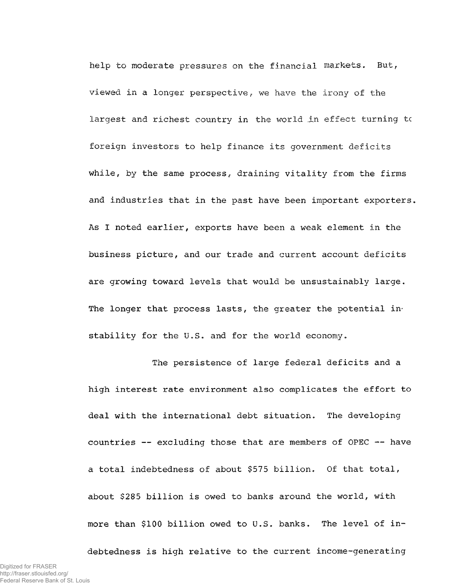help to moderate pressures on the financial markets. But, viewed in a longer perspective, we have the irony of the largest and richest country in the world in effect turning to foreign investors to help finance its government deficits while, by the same process, draining vitality from the firms and industries that in the past have been important exporters. As I noted earlier, exports have been a weak element in the business picture, and our trade and current account deficits are growing toward levels that would be unsustainably large. The longer that process lasts, the greater the potential instability for the U.S. and for the world economy.

The persistence of large federal deficits and a high interest rate environment also complicates the effort to deal with the international debt situation. The developing countries  $-$ - excluding those that are members of OPEC  $-$ - have a total indebtedness of about \$575 billion. Of that total, about \$285 billion is owed to banks around the world, with more than \$100 billion owed to U.S. banks. The level of in-

debtedness is high relative to the current income-generating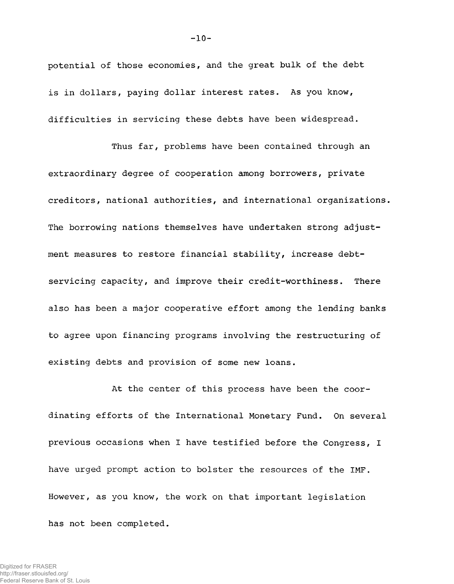potential of those economies, and the great bulk of the debt is in dollars, paying dollar interest rates. As you know, difficulties in servicing these debts have been widespread.

Thus far, problems have been contained through an extraordinary degree of cooperation among borrowers, private creditors, national authorities, and international organizations. The borrowing nations themselves have undertaken strong adjustment measures to restore financial stability, increase debtservicing capacity, and improve their credit-worthiness. There also has been a major cooperative effort among the lending banks to agree upon financing programs involving the restructuring of existing debts and provision of some new loans.

At the center of this process have been the coordinating efforts of the International Monetary Fund. On several previous occasions when I have testified before the Congress, I have urged prompt action to bolster the resources of the IMF. However, as you know, the work on that important legislation has not been completed.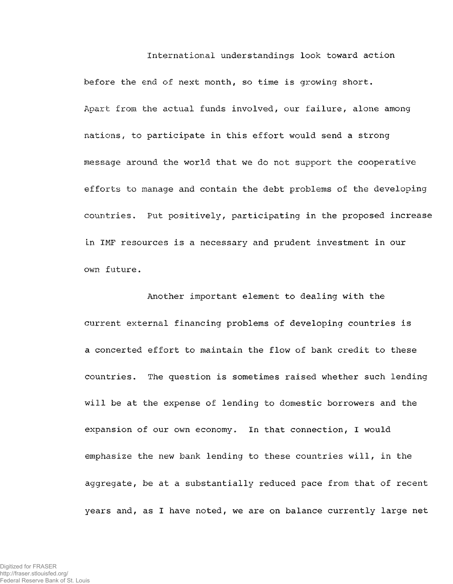International understandings look toward action before the end of next month, so time is growing short. Apart from the actual funds involved, our failure, alone among nations, to participate in this effort would send a strong message around the world that we do not support the cooperative efforts to manage and contain the debt problems of the developing countries. Put positively, participating in the proposed increase in IMF resources is a necessary and prudent investment in our own future.

Another important element to dealing with the current external financing problems of developing countries is a concerted effort to maintain the flow of bank credit to these countries. The question is sometimes raised whether such lending will be at the expense of lending to domestic borrowers and the expansion of our own economy. In that connection, I would emphasize the new bank lending to these countries will, in the aggregate, be at a substantially reduced pace from that of recent years and, as I have noted, we are on balance currently large net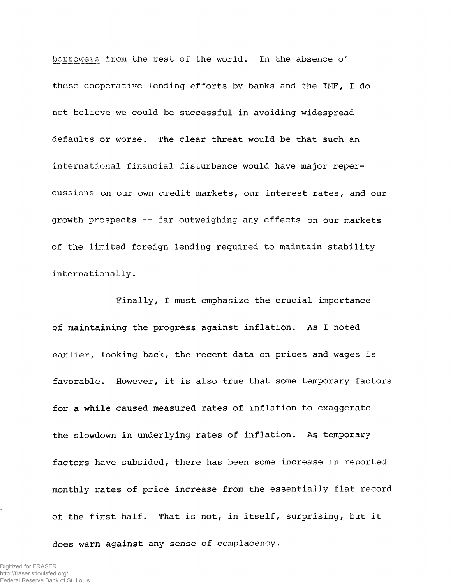borrowers from the rest of the world. In the absence o' these cooperative lending efforts by banks and the IMF, I do not believe we could be successful in avoiding widespread defaults or worse. The clear threat would be that such an international financial disturbance would have major repercussions on our own credit markets, our interest rates, and our growth prospects — far outweighing any effects on our markets of the limited foreign lending required to maintain stability internationally.

Finally, I must emphasize the crucial importance of maintaining the progress against inflation. As I noted earlier, looking back, the recent data on prices and wages is favorable. However, it is also true that some temporary factors for a while caused measured rates of inflation to exaggerate the slowdown in underlying rates of inflation. As temporary factors have subsided, there has been some increase in reported monthly rates of price increase from the essentially flat record of the first half. That is not, in itself, surprising, but it

does warn against any sense of complacency.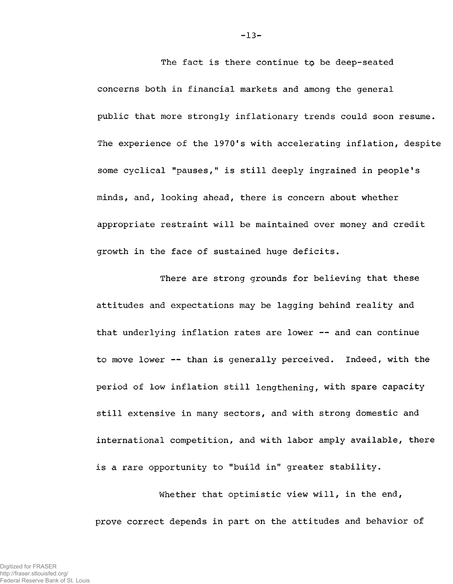concerns both in financial markets and among the general public that more strongly inflationary trends could soon resume. The experience of the 1970's with accelerating inflation, despite some cyclical "pauses," is still deeply ingrained in people's minds, and, looking ahead, there is concern about whether appropriate restraint will be maintained over money and credit growth in the face of sustained huge deficits.

The fact is there continue to be deep-seated

There are strong grounds for believing that these attitudes and expectations may be lagging behind reality and that underlying inflation rates are lower -- and can continue to move lower — than is generally perceived. Indeed, with the period of low inflation still lengthening, with spare capacity still extensive in many sectors, and with strong domestic and international competition, and with labor amply available, there is a rare opportunity to "build in" greater stability.

Whether that optimistic view will, in the end, prove correct depends in part on the attitudes and behavior of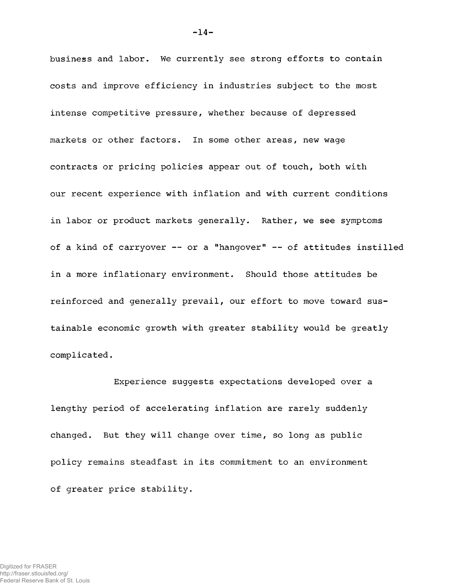business and labor. We currently see strong efforts to contain costs and improve efficiency in industries subject to the most intense competitive pressure, whether because of depressed markets or other factors. In some other areas, new wage contracts or pricing policies appear out of touch, both with our recent experience with inflation and with current conditions in labor or product markets generally. Rather, we see symptoms of a kind of carryover — or a "hangover" — of attitudes instilled in a more inflationary environment. Should those attitudes be reinforced and generally prevail, our effort to move toward sustainable economic growth with greater stability would be greatly complicated.

Experience suggests expectations developed over a lengthy period of accelerating inflation are rarely suddenly changed. But they will change over time, so long as public policy remains steadfast in its commitment to an environment of greater price stability.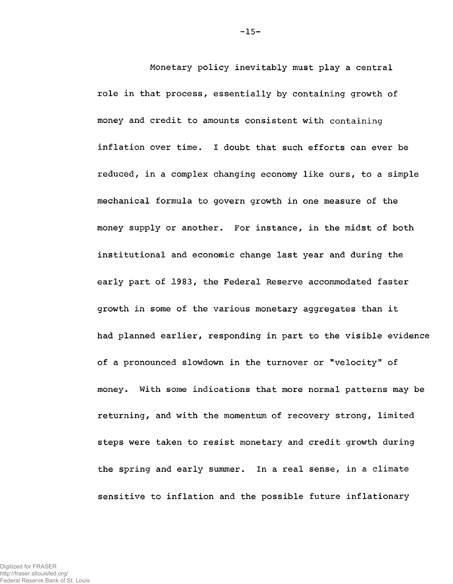Monetary policy inevitably must play a central role in that process, essentially by containing growth of money and credit to amounts consistent with containing inflation over time. I doubt that such efforts can ever be reduced, in a complex changing economy like ours, to a simple mechanical formula to govern growth in one measure of the money supply or another. For instance, in the midst of both institutional and economic change last year and during the early part of 1983, the Federal Reserve accommodated faster growth in some of the various monetary aggregates than it had planned earlier, responding in part to the visible evidence of a pronounced slowdown in the turnover or "velocity" of money. With some indications that more normal patterns may be returning, and with the momentum of recovery strong, limited steps were taken to resist monetary and credit growth during the spring and early summer. In a real sense, in a climate sensitive to inflation and the possible future inflationary

Federal Reserve Bank of St. Louis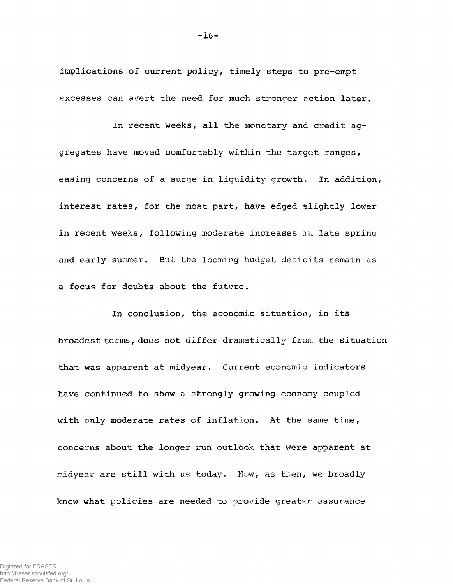implications of current policy, timely steps to pre-empt excesses can avert the need for much stronger action later.

In recent weeks, all the monetary and credit aggregates have moved comfortably within the target ranges, easing concerns of a surge in liquidity growth. In addition, interest rates, for the most part, have edged slightly lower in recent weeks, following moderate increases in late spring and early summer. But the looming budget deficits remain as a focus for doubts about the future.

In conclusion, the economic situation, in its broadest terms, does not differ dramatically from the situation that was apparent at midyear. Current economic indicators have continued to show a strongly growing economy coupled with only moderate rates of inflation. At the same time, concerns about the longer run outlook that were apparent at midyear are still with us today. Now, as then, we broadly know what policies are needed to provide greater assurance